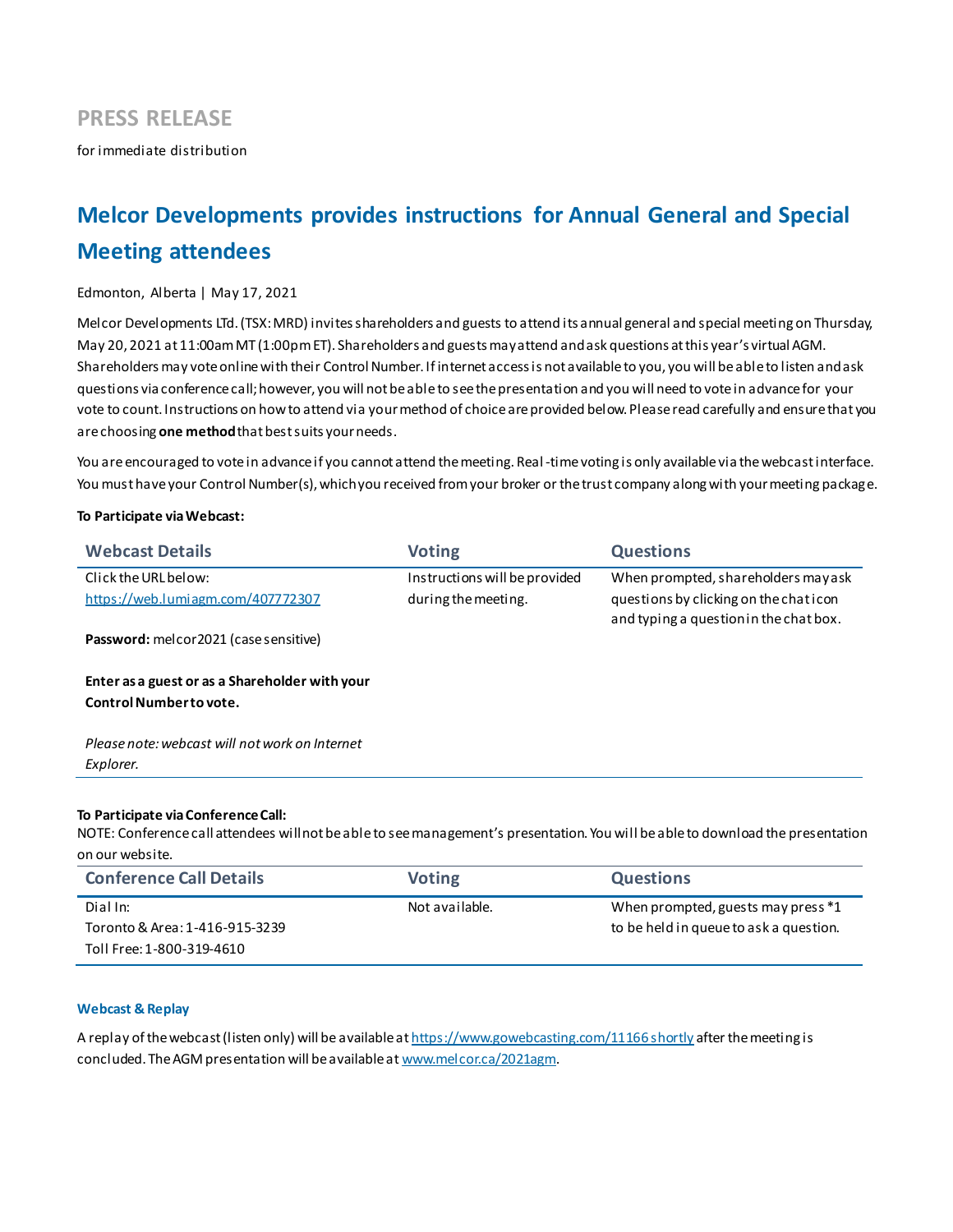# **PRESS RELEASE**

for immediate distribution

# **Melcor Developments provides instructions for Annual General and Special Meeting attendees**

# Edmonton, Alberta | May 17, 2021

Melcor Developments LTd. (TSX: MRD) invites shareholders and guests to attend its annual general and special meeting on Thursday, May 20, 2021 at 11:00am MT (1:00pm ET). Shareholders and guests may attend and ask questions at this year's virtual AGM. Shareholders may vote online with their Control Number. If internet access is not available to you, you will be able to listen and ask questions via conference call; however, you will not be able to see the presentation and you will need to vote in advance for your vote to count. Instructions on how to attend via your method of choice are provided below. Please read carefully and ensure that you are choosing **one method**that best suits your needs.

You are encouraged to vote in advance if you cannot attend the meeting. Real-time voting is only available via the webcast interface. You must have your Control Number(s), which you received from your broker or the trust company along with your meeting package.

### **To Participate via Webcast:**

| <b>Webcast Details</b>                                                   | <b>Voting</b>                 | <b>Questions</b>                                                                |
|--------------------------------------------------------------------------|-------------------------------|---------------------------------------------------------------------------------|
| Click the URL below:                                                     | Instructions will be provided | When prompted, shareholders may ask                                             |
| https://web.lumiagm.com/407772307                                        | during the meeting.           | questions by clicking on the chaticon<br>and typing a question in the chat box. |
| Password: melcor2021 (case sensitive)                                    |                               |                                                                                 |
| Enter as a guest or as a Shareholder with your<br>Control Numberto vote. |                               |                                                                                 |
| Please note: webcast will not work on Internet                           |                               |                                                                                 |
| Explorer.                                                                |                               |                                                                                 |
|                                                                          |                               |                                                                                 |

### **To Participate via Conference Call:**

NOTE: Conference call attendees will not be able to see management's presentation. You will be able to download the presentation on our website.

| <b>Conference Call Details</b> | <b>Voting</b>  | <b>Questions</b>                       |
|--------------------------------|----------------|----------------------------------------|
| Dial In:                       | Not available. | When prompted, guests may press *1     |
| Toronto & Area: 1-416-915-3239 |                | to be held in queue to ask a question. |
| Toll Free: 1-800-319-4610      |                |                                        |

# **Webcast & Replay**

A replay of the webcast (listen only) will be available a[t https://www.gowebcasting.com/11166](https://linkprotect.cudasvc.com/url?a=https%3a%2f%2fwww.gowebcasting.com%2f11166&c=E,1,ZFYILDIUXxwOppok0Wjytls3XZsqN5oS4gJ0ofw4lxhENf3uYfd55TSnP8RGGOqyxcDTi4wU0vXth0rtLM6ituqBOLTAu6avpnUlOjdn&typo=1) shortly after the meeting is concluded. The AGM presentation will be available at www.melcor.ca/2021agm.